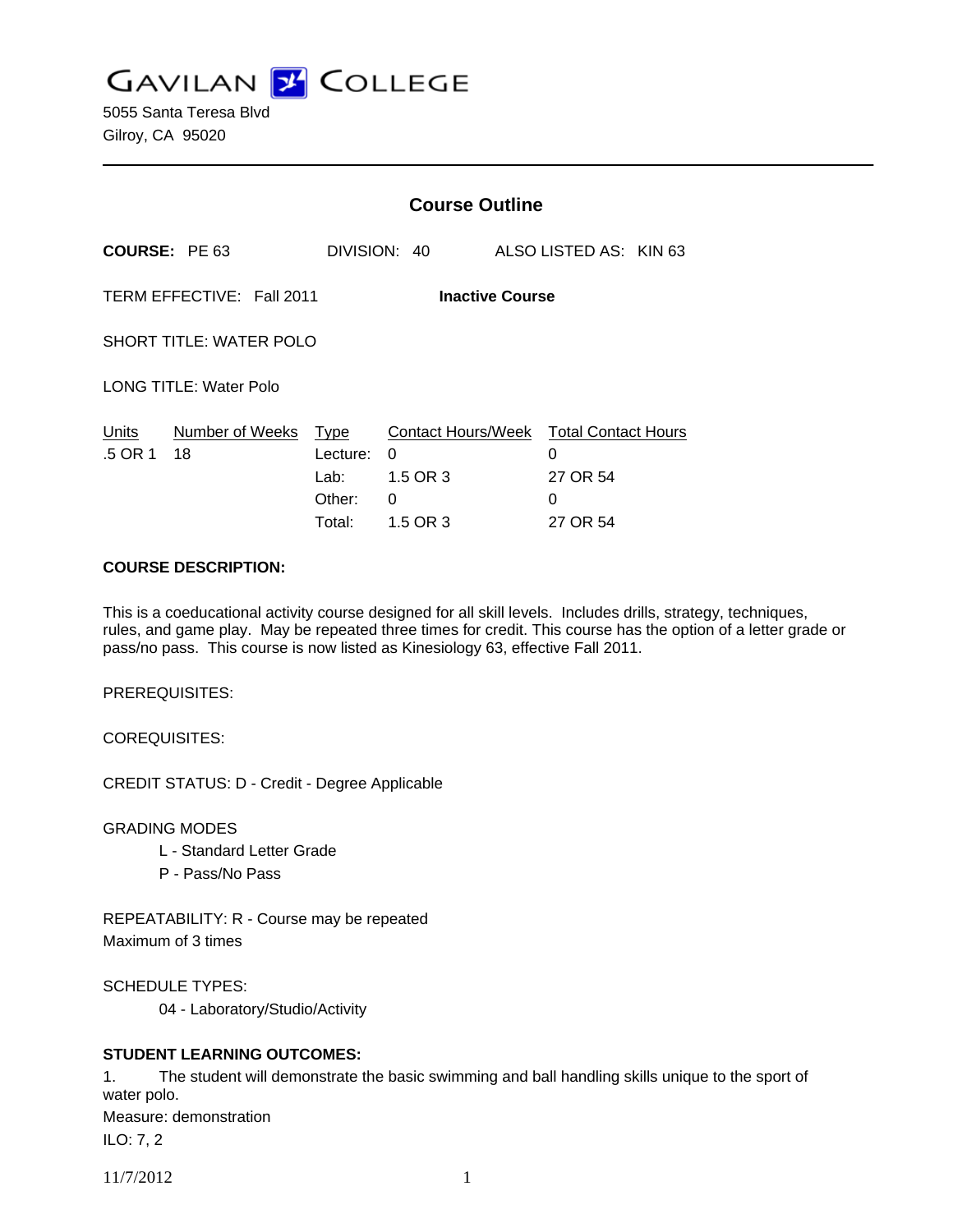

5055 Santa Teresa Blvd Gilroy, CA 95020

|                                                     |                       | <b>Course Outline</b>                               |                                                      |  |                                                              |  |
|-----------------------------------------------------|-----------------------|-----------------------------------------------------|------------------------------------------------------|--|--------------------------------------------------------------|--|
| <b>COURSE: PE 63</b>                                |                       | DIVISION: 40                                        |                                                      |  | ALSO LISTED AS: KIN 63                                       |  |
| TERM EFFECTIVE: Fall 2011<br><b>Inactive Course</b> |                       |                                                     |                                                      |  |                                                              |  |
| <b>SHORT TITLE: WATER POLO</b>                      |                       |                                                     |                                                      |  |                                                              |  |
| <b>LONG TITLE: Water Polo</b>                       |                       |                                                     |                                                      |  |                                                              |  |
| Units<br>.5 OR 1                                    | Number of Weeks<br>18 | <b>Type</b><br>Lecture:<br>Lab:<br>Other:<br>Total: | Contact Hours/Week<br>0<br>1.5 OR 3<br>0<br>1.5 OR 3 |  | <b>Total Contact Hours</b><br>0<br>27 OR 54<br>0<br>27 OR 54 |  |

#### **COURSE DESCRIPTION:**

This is a coeducational activity course designed for all skill levels. Includes drills, strategy, techniques, rules, and game play. May be repeated three times for credit. This course has the option of a letter grade or pass/no pass. This course is now listed as Kinesiology 63, effective Fall 2011.

PREREQUISITES:

COREQUISITES:

CREDIT STATUS: D - Credit - Degree Applicable

GRADING MODES

- L Standard Letter Grade
- P Pass/No Pass

REPEATABILITY: R - Course may be repeated Maximum of 3 times

SCHEDULE TYPES:

04 - Laboratory/Studio/Activity

## **STUDENT LEARNING OUTCOMES:**

1. The student will demonstrate the basic swimming and ball handling skills unique to the sport of water polo. Measure: demonstration ILO: 7, 2

11/7/2012 1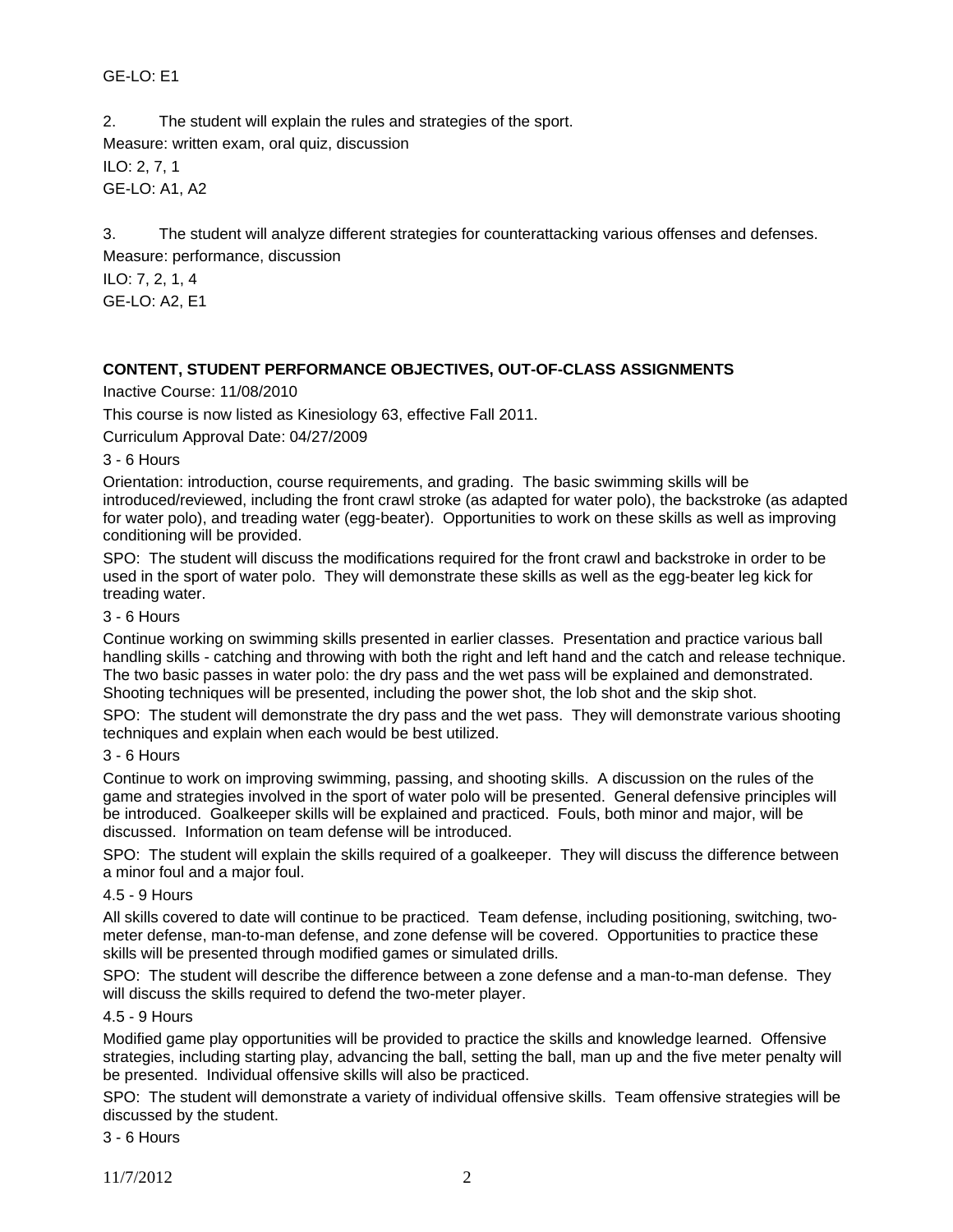# GE-LO: E1

2. The student will explain the rules and strategies of the sport. Measure: written exam, oral quiz, discussion ILO: 2, 7, 1 GE-LO: A1, A2

3. The student will analyze different strategies for counterattacking various offenses and defenses. Measure: performance, discussion

ILO: 7, 2, 1, 4 GE-LO: A2, E1

# **CONTENT, STUDENT PERFORMANCE OBJECTIVES, OUT-OF-CLASS ASSIGNMENTS**

## Inactive Course: 11/08/2010

This course is now listed as Kinesiology 63, effective Fall 2011.

Curriculum Approval Date: 04/27/2009

3 - 6 Hours

Orientation: introduction, course requirements, and grading. The basic swimming skills will be introduced/reviewed, including the front crawl stroke (as adapted for water polo), the backstroke (as adapted for water polo), and treading water (egg-beater). Opportunities to work on these skills as well as improving conditioning will be provided.

SPO: The student will discuss the modifications required for the front crawl and backstroke in order to be used in the sport of water polo. They will demonstrate these skills as well as the egg-beater leg kick for treading water.

## 3 - 6 Hours

Continue working on swimming skills presented in earlier classes. Presentation and practice various ball handling skills - catching and throwing with both the right and left hand and the catch and release technique. The two basic passes in water polo: the dry pass and the wet pass will be explained and demonstrated. Shooting techniques will be presented, including the power shot, the lob shot and the skip shot.

SPO: The student will demonstrate the dry pass and the wet pass. They will demonstrate various shooting techniques and explain when each would be best utilized.

#### 3 - 6 Hours

Continue to work on improving swimming, passing, and shooting skills. A discussion on the rules of the game and strategies involved in the sport of water polo will be presented. General defensive principles will be introduced. Goalkeeper skills will be explained and practiced. Fouls, both minor and major, will be discussed. Information on team defense will be introduced.

SPO: The student will explain the skills required of a goalkeeper. They will discuss the difference between a minor foul and a major foul.

#### 4.5 - 9 Hours

All skills covered to date will continue to be practiced. Team defense, including positioning, switching, twometer defense, man-to-man defense, and zone defense will be covered. Opportunities to practice these skills will be presented through modified games or simulated drills.

SPO: The student will describe the difference between a zone defense and a man-to-man defense. They will discuss the skills required to defend the two-meter player.

#### 4.5 - 9 Hours

Modified game play opportunities will be provided to practice the skills and knowledge learned. Offensive strategies, including starting play, advancing the ball, setting the ball, man up and the five meter penalty will be presented. Individual offensive skills will also be practiced.

SPO: The student will demonstrate a variety of individual offensive skills. Team offensive strategies will be discussed by the student.

3 - 6 Hours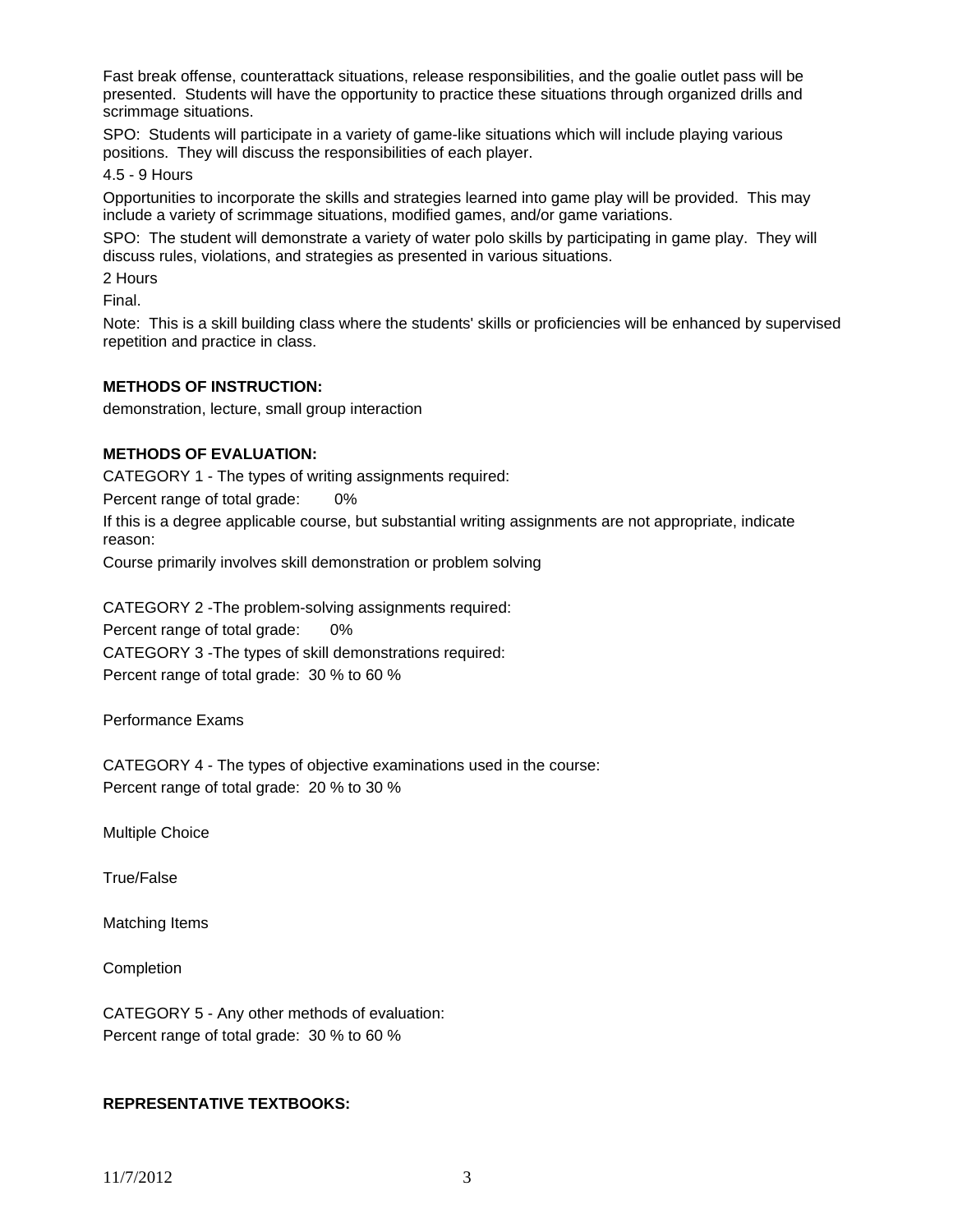Fast break offense, counterattack situations, release responsibilities, and the goalie outlet pass will be presented. Students will have the opportunity to practice these situations through organized drills and scrimmage situations.

SPO: Students will participate in a variety of game-like situations which will include playing various positions. They will discuss the responsibilities of each player.

4.5 - 9 Hours

Opportunities to incorporate the skills and strategies learned into game play will be provided. This may include a variety of scrimmage situations, modified games, and/or game variations.

SPO: The student will demonstrate a variety of water polo skills by participating in game play. They will discuss rules, violations, and strategies as presented in various situations.

2 Hours

Final.

Note: This is a skill building class where the students' skills or proficiencies will be enhanced by supervised repetition and practice in class.

## **METHODS OF INSTRUCTION:**

demonstration, lecture, small group interaction

## **METHODS OF EVALUATION:**

CATEGORY 1 - The types of writing assignments required:

Percent range of total grade: 0%

If this is a degree applicable course, but substantial writing assignments are not appropriate, indicate reason:

Course primarily involves skill demonstration or problem solving

CATEGORY 2 -The problem-solving assignments required: Percent range of total grade: 0% CATEGORY 3 -The types of skill demonstrations required: Percent range of total grade: 30 % to 60 %

Performance Exams

CATEGORY 4 - The types of objective examinations used in the course: Percent range of total grade: 20 % to 30 %

Multiple Choice

True/False

Matching Items

**Completion** 

CATEGORY 5 - Any other methods of evaluation: Percent range of total grade: 30 % to 60 %

#### **REPRESENTATIVE TEXTBOOKS:**